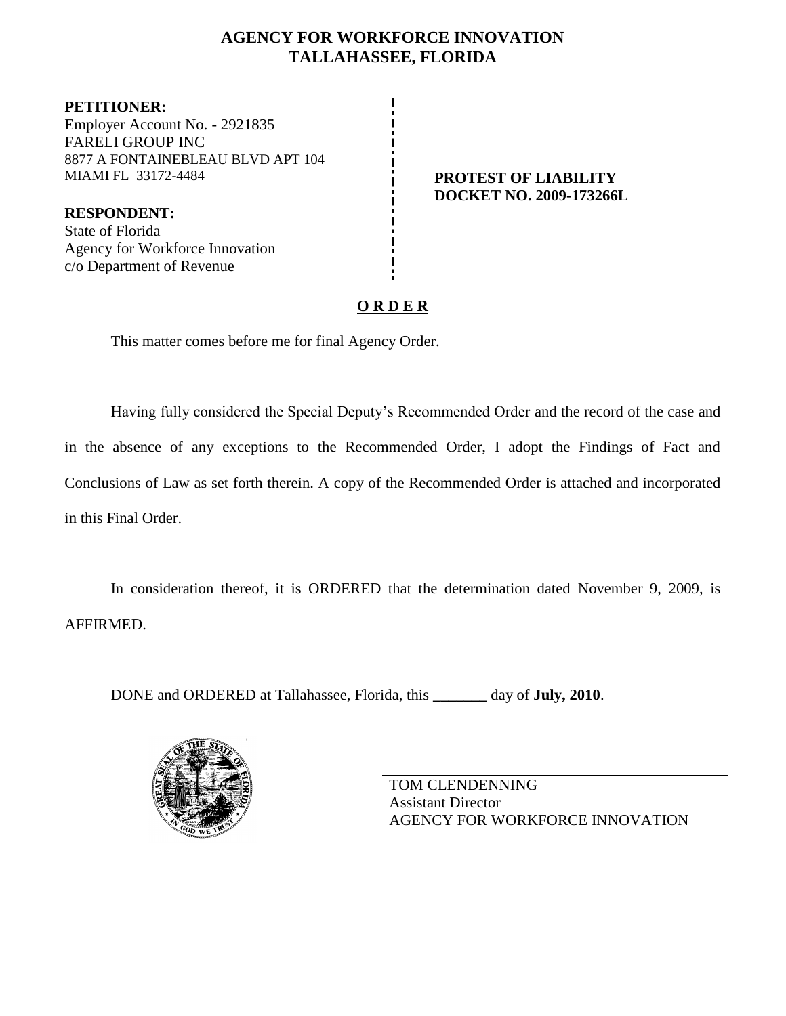# **AGENCY FOR WORKFORCE INNOVATION TALLAHASSEE, FLORIDA**

**PETITIONER:** Employer Account No. - 2921835 FARELI GROUP INC 8877 A FONTAINEBLEAU BLVD APT 104 MIAMI FL 33172-4484 **PROTEST OF LIABILITY**

**RESPONDENT:** State of Florida Agency for Workforce Innovation c/o Department of Revenue

**DOCKET NO. 2009-173266L**

# **O R D E R**

This matter comes before me for final Agency Order.

Having fully considered the Special Deputy's Recommended Order and the record of the case and in the absence of any exceptions to the Recommended Order, I adopt the Findings of Fact and Conclusions of Law as set forth therein. A copy of the Recommended Order is attached and incorporated in this Final Order.

In consideration thereof, it is ORDERED that the determination dated November 9, 2009, is AFFIRMED.

DONE and ORDERED at Tallahassee, Florida, this **\_\_\_\_\_\_\_** day of **July, 2010**.



TOM CLENDENNING Assistant Director AGENCY FOR WORKFORCE INNOVATION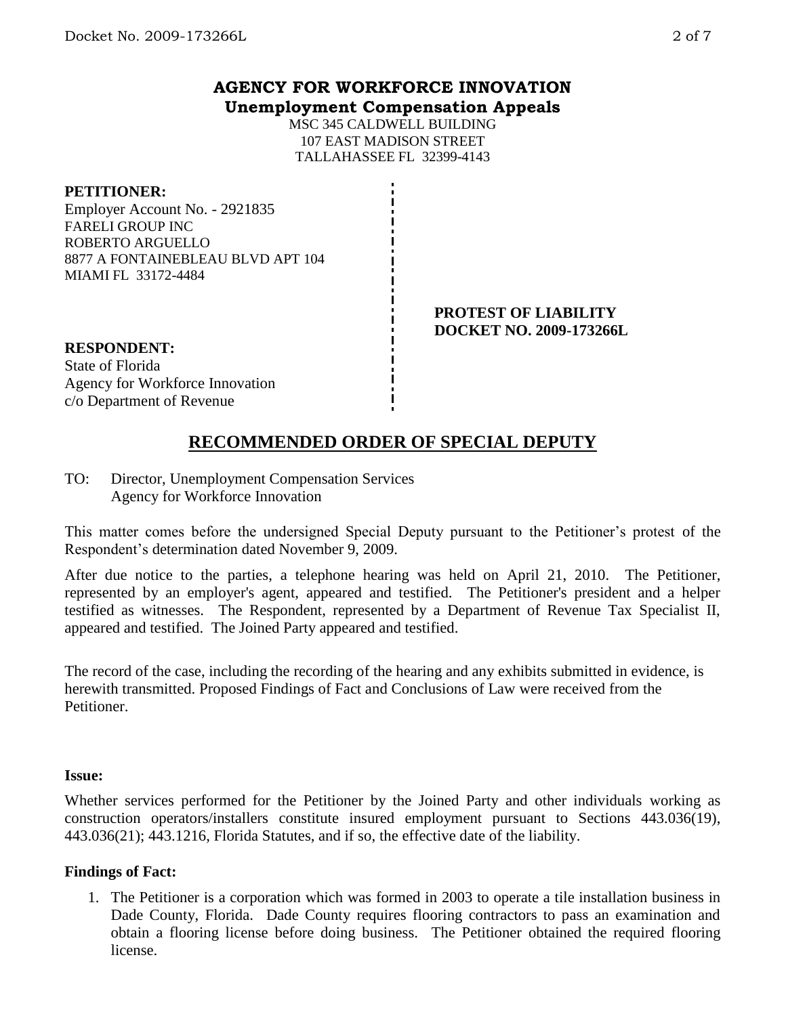# **AGENCY FOR WORKFORCE INNOVATION Unemployment Compensation Appeals**

MSC 345 CALDWELL BUILDING 107 EAST MADISON STREET TALLAHASSEE FL 32399-4143

### **PETITIONER:**

Employer Account No. - 2921835 FARELI GROUP INC ROBERTO ARGUELLO 8877 A FONTAINEBLEAU BLVD APT 104 MIAMI FL 33172-4484

#### **PROTEST OF LIABILITY DOCKET NO. 2009-173266L**

**RESPONDENT:** State of Florida Agency for Workforce Innovation c/o Department of Revenue

# **RECOMMENDED ORDER OF SPECIAL DEPUTY**

TO: Director, Unemployment Compensation Services Agency for Workforce Innovation

This matter comes before the undersigned Special Deputy pursuant to the Petitioner's protest of the Respondent's determination dated November 9, 2009.

After due notice to the parties, a telephone hearing was held on April 21, 2010. The Petitioner, represented by an employer's agent, appeared and testified. The Petitioner's president and a helper testified as witnesses. The Respondent, represented by a Department of Revenue Tax Specialist II, appeared and testified. The Joined Party appeared and testified.

The record of the case, including the recording of the hearing and any exhibits submitted in evidence, is herewith transmitted. Proposed Findings of Fact and Conclusions of Law were received from the Petitioner.

#### **Issue:**

Whether services performed for the Petitioner by the Joined Party and other individuals working as construction operators/installers constitute insured employment pursuant to Sections 443.036(19), 443.036(21); 443.1216, Florida Statutes, and if so, the effective date of the liability.

## **Findings of Fact:**

1. The Petitioner is a corporation which was formed in 2003 to operate a tile installation business in Dade County, Florida. Dade County requires flooring contractors to pass an examination and obtain a flooring license before doing business. The Petitioner obtained the required flooring license.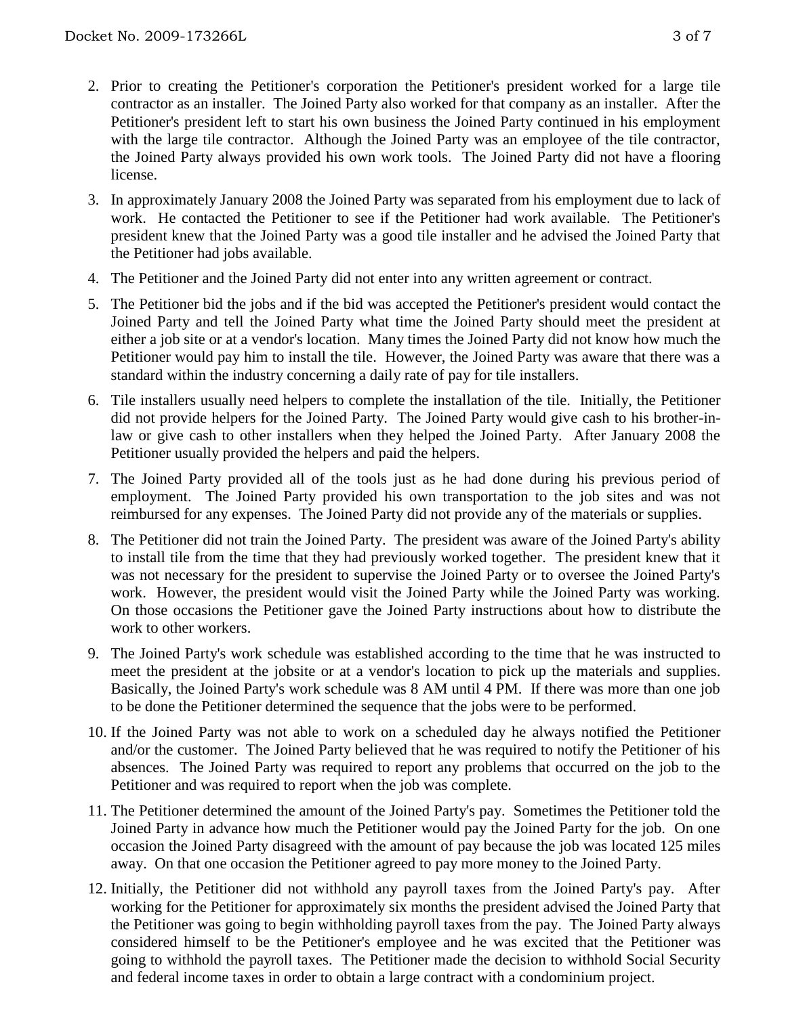- 2. Prior to creating the Petitioner's corporation the Petitioner's president worked for a large tile contractor as an installer. The Joined Party also worked for that company as an installer. After the Petitioner's president left to start his own business the Joined Party continued in his employment with the large tile contractor. Although the Joined Party was an employee of the tile contractor, the Joined Party always provided his own work tools. The Joined Party did not have a flooring license.
- 3. In approximately January 2008 the Joined Party was separated from his employment due to lack of work. He contacted the Petitioner to see if the Petitioner had work available. The Petitioner's president knew that the Joined Party was a good tile installer and he advised the Joined Party that the Petitioner had jobs available.
- 4. The Petitioner and the Joined Party did not enter into any written agreement or contract.
- 5. The Petitioner bid the jobs and if the bid was accepted the Petitioner's president would contact the Joined Party and tell the Joined Party what time the Joined Party should meet the president at either a job site or at a vendor's location. Many times the Joined Party did not know how much the Petitioner would pay him to install the tile. However, the Joined Party was aware that there was a standard within the industry concerning a daily rate of pay for tile installers.
- 6. Tile installers usually need helpers to complete the installation of the tile. Initially, the Petitioner did not provide helpers for the Joined Party. The Joined Party would give cash to his brother-inlaw or give cash to other installers when they helped the Joined Party. After January 2008 the Petitioner usually provided the helpers and paid the helpers.
- 7. The Joined Party provided all of the tools just as he had done during his previous period of employment. The Joined Party provided his own transportation to the job sites and was not reimbursed for any expenses. The Joined Party did not provide any of the materials or supplies.
- 8. The Petitioner did not train the Joined Party. The president was aware of the Joined Party's ability to install tile from the time that they had previously worked together. The president knew that it was not necessary for the president to supervise the Joined Party or to oversee the Joined Party's work. However, the president would visit the Joined Party while the Joined Party was working. On those occasions the Petitioner gave the Joined Party instructions about how to distribute the work to other workers.
- 9. The Joined Party's work schedule was established according to the time that he was instructed to meet the president at the jobsite or at a vendor's location to pick up the materials and supplies. Basically, the Joined Party's work schedule was 8 AM until 4 PM. If there was more than one job to be done the Petitioner determined the sequence that the jobs were to be performed.
- 10. If the Joined Party was not able to work on a scheduled day he always notified the Petitioner and/or the customer. The Joined Party believed that he was required to notify the Petitioner of his absences. The Joined Party was required to report any problems that occurred on the job to the Petitioner and was required to report when the job was complete.
- 11. The Petitioner determined the amount of the Joined Party's pay. Sometimes the Petitioner told the Joined Party in advance how much the Petitioner would pay the Joined Party for the job. On one occasion the Joined Party disagreed with the amount of pay because the job was located 125 miles away. On that one occasion the Petitioner agreed to pay more money to the Joined Party.
- 12. Initially, the Petitioner did not withhold any payroll taxes from the Joined Party's pay. After working for the Petitioner for approximately six months the president advised the Joined Party that the Petitioner was going to begin withholding payroll taxes from the pay. The Joined Party always considered himself to be the Petitioner's employee and he was excited that the Petitioner was going to withhold the payroll taxes. The Petitioner made the decision to withhold Social Security and federal income taxes in order to obtain a large contract with a condominium project.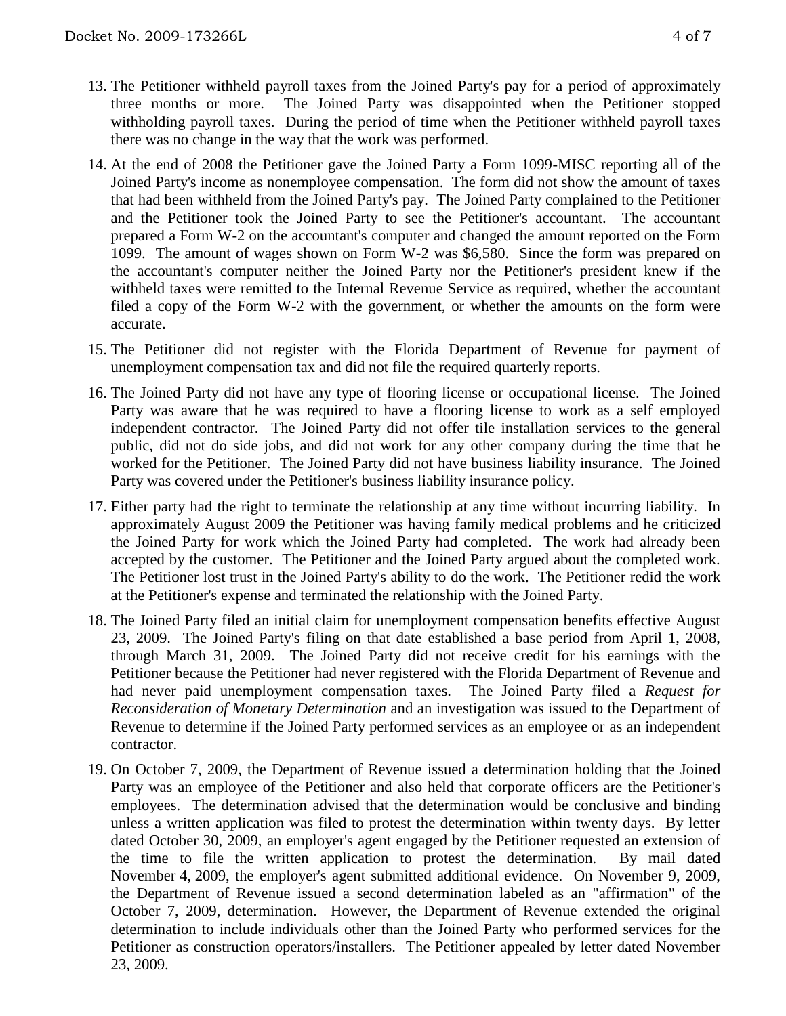- 13. The Petitioner withheld payroll taxes from the Joined Party's pay for a period of approximately three months or more. The Joined Party was disappointed when the Petitioner stopped withholding payroll taxes. During the period of time when the Petitioner withheld payroll taxes there was no change in the way that the work was performed.
- 14. At the end of 2008 the Petitioner gave the Joined Party a Form 1099-MISC reporting all of the Joined Party's income as nonemployee compensation. The form did not show the amount of taxes that had been withheld from the Joined Party's pay. The Joined Party complained to the Petitioner and the Petitioner took the Joined Party to see the Petitioner's accountant. The accountant prepared a Form W-2 on the accountant's computer and changed the amount reported on the Form 1099. The amount of wages shown on Form W-2 was \$6,580. Since the form was prepared on the accountant's computer neither the Joined Party nor the Petitioner's president knew if the withheld taxes were remitted to the Internal Revenue Service as required, whether the accountant filed a copy of the Form W-2 with the government, or whether the amounts on the form were accurate.
- 15. The Petitioner did not register with the Florida Department of Revenue for payment of unemployment compensation tax and did not file the required quarterly reports.
- 16. The Joined Party did not have any type of flooring license or occupational license. The Joined Party was aware that he was required to have a flooring license to work as a self employed independent contractor. The Joined Party did not offer tile installation services to the general public, did not do side jobs, and did not work for any other company during the time that he worked for the Petitioner. The Joined Party did not have business liability insurance. The Joined Party was covered under the Petitioner's business liability insurance policy.
- 17. Either party had the right to terminate the relationship at any time without incurring liability. In approximately August 2009 the Petitioner was having family medical problems and he criticized the Joined Party for work which the Joined Party had completed. The work had already been accepted by the customer. The Petitioner and the Joined Party argued about the completed work. The Petitioner lost trust in the Joined Party's ability to do the work. The Petitioner redid the work at the Petitioner's expense and terminated the relationship with the Joined Party.
- 18. The Joined Party filed an initial claim for unemployment compensation benefits effective August 23, 2009. The Joined Party's filing on that date established a base period from April 1, 2008, through March 31, 2009. The Joined Party did not receive credit for his earnings with the Petitioner because the Petitioner had never registered with the Florida Department of Revenue and had never paid unemployment compensation taxes. The Joined Party filed a *Request for Reconsideration of Monetary Determination* and an investigation was issued to the Department of Revenue to determine if the Joined Party performed services as an employee or as an independent contractor.
- 19. On October 7, 2009, the Department of Revenue issued a determination holding that the Joined Party was an employee of the Petitioner and also held that corporate officers are the Petitioner's employees. The determination advised that the determination would be conclusive and binding unless a written application was filed to protest the determination within twenty days. By letter dated October 30, 2009, an employer's agent engaged by the Petitioner requested an extension of the time to file the written application to protest the determination. By mail dated November 4, 2009, the employer's agent submitted additional evidence. On November 9, 2009, the Department of Revenue issued a second determination labeled as an "affirmation" of the October 7, 2009, determination. However, the Department of Revenue extended the original determination to include individuals other than the Joined Party who performed services for the Petitioner as construction operators/installers. The Petitioner appealed by letter dated November 23, 2009.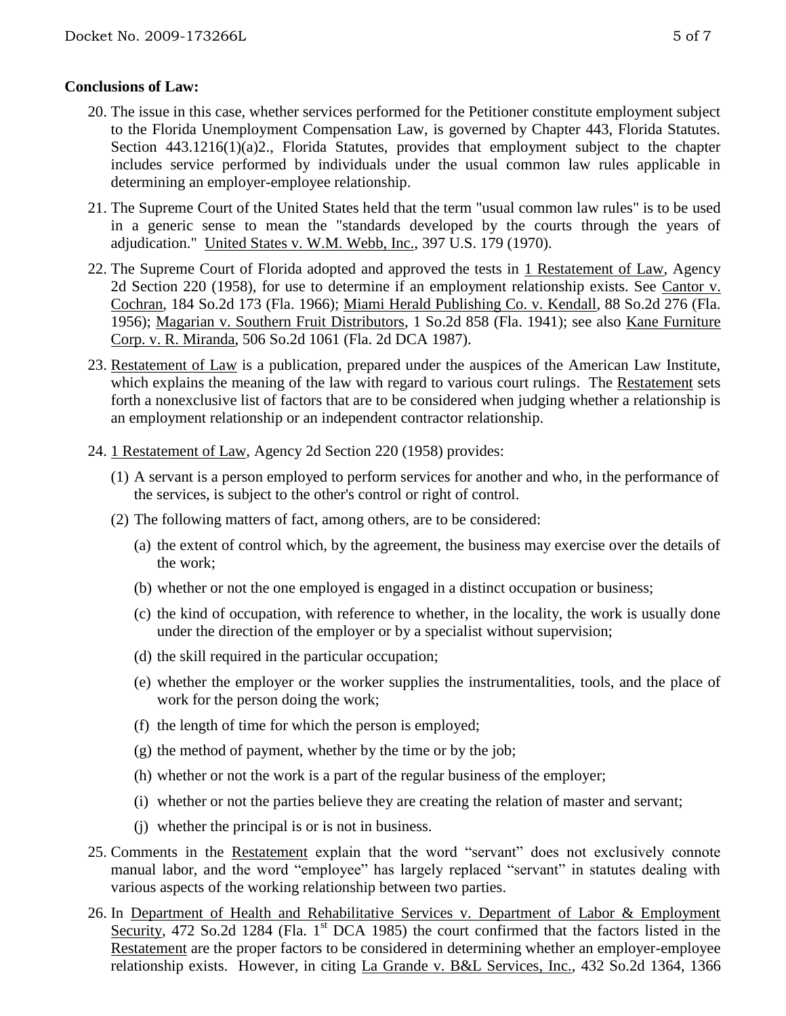## **Conclusions of Law:**

- 20. The issue in this case, whether services performed for the Petitioner constitute employment subject to the Florida Unemployment Compensation Law, is governed by Chapter 443, Florida Statutes. Section 443.1216(1)(a)2., Florida Statutes, provides that employment subject to the chapter includes service performed by individuals under the usual common law rules applicable in determining an employer-employee relationship.
- 21. The Supreme Court of the United States held that the term "usual common law rules" is to be used in a generic sense to mean the "standards developed by the courts through the years of adjudication." United States v. W.M. Webb, Inc., 397 U.S. 179 (1970).
- 22. The Supreme Court of Florida adopted and approved the tests in 1 Restatement of Law, Agency 2d Section 220 (1958), for use to determine if an employment relationship exists. See Cantor v. Cochran, 184 So.2d 173 (Fla. 1966); Miami Herald Publishing Co. v. Kendall, 88 So.2d 276 (Fla. 1956); Magarian v. Southern Fruit Distributors, 1 So.2d 858 (Fla. 1941); see also Kane Furniture Corp. v. R. Miranda, 506 So.2d 1061 (Fla. 2d DCA 1987).
- 23. Restatement of Law is a publication, prepared under the auspices of the American Law Institute, which explains the meaning of the law with regard to various court rulings. The Restatement sets forth a nonexclusive list of factors that are to be considered when judging whether a relationship is an employment relationship or an independent contractor relationship.
- 24. 1 Restatement of Law, Agency 2d Section 220 (1958) provides:
	- (1) A servant is a person employed to perform services for another and who, in the performance of the services, is subject to the other's control or right of control.
	- (2) The following matters of fact, among others, are to be considered:
		- (a) the extent of control which, by the agreement, the business may exercise over the details of the work;
		- (b) whether or not the one employed is engaged in a distinct occupation or business;
		- (c) the kind of occupation, with reference to whether, in the locality, the work is usually done under the direction of the employer or by a specialist without supervision;
		- (d) the skill required in the particular occupation;
		- (e) whether the employer or the worker supplies the instrumentalities, tools, and the place of work for the person doing the work;
		- (f) the length of time for which the person is employed;
		- $(g)$  the method of payment, whether by the time or by the job;
		- (h) whether or not the work is a part of the regular business of the employer;
		- (i) whether or not the parties believe they are creating the relation of master and servant;
		- (j) whether the principal is or is not in business.
- 25. Comments in the Restatement explain that the word "servant" does not exclusively connote manual labor, and the word "employee" has largely replaced "servant" in statutes dealing with various aspects of the working relationship between two parties.
- 26. In Department of Health and Rehabilitative Services v. Department of Labor & Employment Security, 472 So.2d 1284 (Fla. 1<sup>st</sup> DCA 1985) the court confirmed that the factors listed in the Restatement are the proper factors to be considered in determining whether an employer-employee relationship exists. However, in citing La Grande v. B&L Services, Inc., 432 So.2d 1364, 1366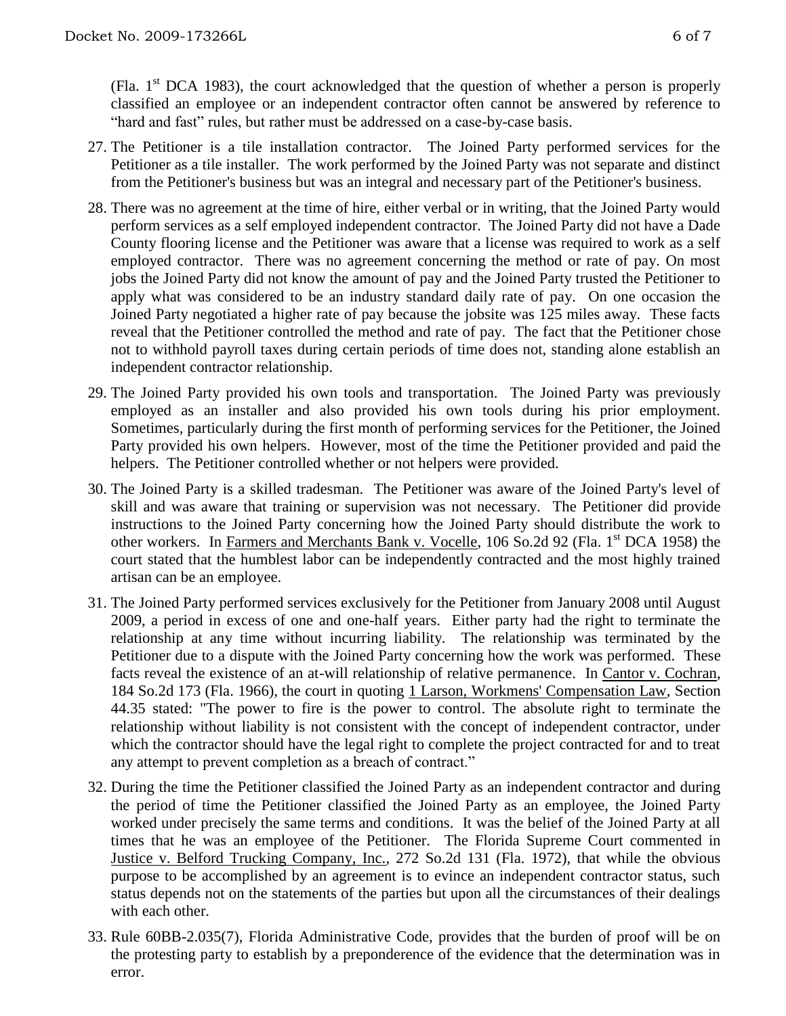(Fla.  $1<sup>st</sup> DCA$  1983), the court acknowledged that the question of whether a person is properly classified an employee or an independent contractor often cannot be answered by reference to "hard and fast" rules, but rather must be addressed on a case-by-case basis.

- 27. The Petitioner is a tile installation contractor. The Joined Party performed services for the Petitioner as a tile installer. The work performed by the Joined Party was not separate and distinct from the Petitioner's business but was an integral and necessary part of the Petitioner's business.
- 28. There was no agreement at the time of hire, either verbal or in writing, that the Joined Party would perform services as a self employed independent contractor. The Joined Party did not have a Dade County flooring license and the Petitioner was aware that a license was required to work as a self employed contractor. There was no agreement concerning the method or rate of pay. On most jobs the Joined Party did not know the amount of pay and the Joined Party trusted the Petitioner to apply what was considered to be an industry standard daily rate of pay. On one occasion the Joined Party negotiated a higher rate of pay because the jobsite was 125 miles away. These facts reveal that the Petitioner controlled the method and rate of pay. The fact that the Petitioner chose not to withhold payroll taxes during certain periods of time does not, standing alone establish an independent contractor relationship.
- 29. The Joined Party provided his own tools and transportation. The Joined Party was previously employed as an installer and also provided his own tools during his prior employment. Sometimes, particularly during the first month of performing services for the Petitioner, the Joined Party provided his own helpers. However, most of the time the Petitioner provided and paid the helpers. The Petitioner controlled whether or not helpers were provided.
- 30. The Joined Party is a skilled tradesman. The Petitioner was aware of the Joined Party's level of skill and was aware that training or supervision was not necessary. The Petitioner did provide instructions to the Joined Party concerning how the Joined Party should distribute the work to other workers. In Farmers and Merchants Bank v. Vocelle, 106 So.2d 92 (Fla. 1<sup>st</sup> DCA 1958) the court stated that the humblest labor can be independently contracted and the most highly trained artisan can be an employee.
- 31. The Joined Party performed services exclusively for the Petitioner from January 2008 until August 2009, a period in excess of one and one-half years. Either party had the right to terminate the relationship at any time without incurring liability. The relationship was terminated by the Petitioner due to a dispute with the Joined Party concerning how the work was performed. These facts reveal the existence of an at-will relationship of relative permanence. In Cantor v. Cochran, 184 So.2d 173 (Fla. 1966), the court in quoting 1 Larson, Workmens' Compensation Law, Section 44.35 stated: "The power to fire is the power to control. The absolute right to terminate the relationship without liability is not consistent with the concept of independent contractor, under which the contractor should have the legal right to complete the project contracted for and to treat any attempt to prevent completion as a breach of contract."
- 32. During the time the Petitioner classified the Joined Party as an independent contractor and during the period of time the Petitioner classified the Joined Party as an employee, the Joined Party worked under precisely the same terms and conditions. It was the belief of the Joined Party at all times that he was an employee of the Petitioner. The Florida Supreme Court commented in Justice v. Belford Trucking Company, Inc., 272 So.2d 131 (Fla. 1972), that while the obvious purpose to be accomplished by an agreement is to evince an independent contractor status, such status depends not on the statements of the parties but upon all the circumstances of their dealings with each other.
- 33. Rule 60BB-2.035(7), Florida Administrative Code, provides that the burden of proof will be on the protesting party to establish by a preponderence of the evidence that the determination was in error.